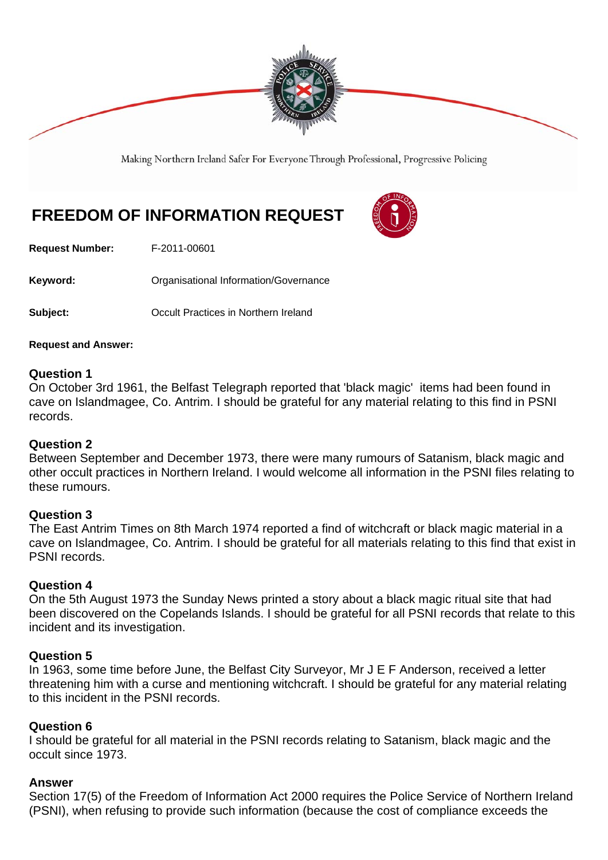

Making Northern Ireland Safer For Everyone Through Professional, Progressive Policing

# **FREEDOM OF INFORMATION REQUEST**

**Request Number:** F-2011-00601

Keyword: **Communistry Communists** Organisational Information/Governance

**Subject: Conservery Conservery Conservery Conservery Subject:**  $\overline{O}$ 

**Request and Answer:** 

### **Question 1**

On October 3rd 1961, the Belfast Telegraph reported that 'black magic' items had been found in cave on Islandmagee, Co. Antrim. I should be grateful for any material relating to this find in PSNI records.

#### **Question 2**

Between September and December 1973, there were many rumours of Satanism, black magic and other occult practices in Northern Ireland. I would welcome all information in the PSNI files relating to these rumours.

#### **Question 3**

The East Antrim Times on 8th March 1974 reported a find of witchcraft or black magic material in a cave on Islandmagee, Co. Antrim. I should be grateful for all materials relating to this find that exist in PSNI records.

#### **Question 4**

On the 5th August 1973 the Sunday News printed a story about a black magic ritual site that had been discovered on the Copelands Islands. I should be grateful for all PSNI records that relate to this incident and its investigation.

## **Question 5**

In 1963, some time before June, the Belfast City Surveyor, Mr J E F Anderson, received a letter threatening him with a curse and mentioning witchcraft. I should be grateful for any material relating to this incident in the PSNI records.

## **Question 6**

I should be grateful for all material in the PSNI records relating to Satanism, black magic and the occult since 1973.

## **Answer**

Section 17(5) of the Freedom of Information Act 2000 requires the Police Service of Northern Ireland (PSNI), when refusing to provide such information (because the cost of compliance exceeds the